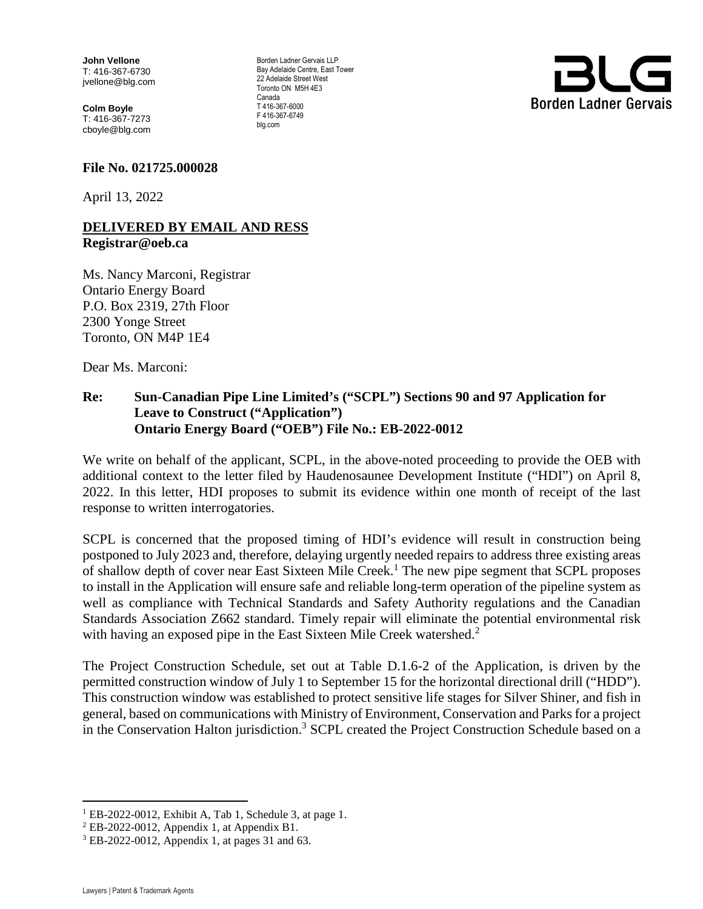**John Vellone** T: 416-367-6730 jvellone@blg.com

**Colm Boyle**  T: 416-367-7273 cboyle@blg.com

## **File No. 021725.000028**

April 13, 2022

## **DELIVERED BY EMAIL AND RESS Registrar@oeb.ca**

Ms. Nancy Marconi, Registrar Ontario Energy Board P.O. Box 2319, 27th Floor 2300 Yonge Street Toronto, ON M4P 1E4

Dear Ms. Marconi:

## **Re: Sun-Canadian Pipe Line Limited's ("SCPL") Sections 90 and 97 Application for Leave to Construct ("Application") Ontario Energy Board ("OEB") File No.: EB-2022-0012**

We write on behalf of the applicant, SCPL, in the above-noted proceeding to provide the OEB with additional context to the letter filed by Haudenosaunee Development Institute ("HDI") on April 8, 2022. In this letter, HDI proposes to submit its evidence within one month of receipt of the last response to written interrogatories.

SCPL is concerned that the proposed timing of HDI's evidence will result in construction being postponed to July 2023 and, therefore, delaying urgently needed repairs to address three existing areas of shallow depth of cover near East Sixteen Mile Creek.<sup>1</sup> The new pipe segment that SCPL proposes to install in the Application will ensure safe and reliable long-term operation of the pipeline system as well as compliance with Technical Standards and Safety Authority regulations and the Canadian Standards Association Z662 standard. Timely repair will eliminate the potential environmental risk with having an exposed pipe in the East Sixteen Mile Creek watershed.<sup>2</sup>

The Project Construction Schedule, set out at Table D.1.6-2 of the Application, is driven by the permitted construction window of July 1 to September 15 for the horizontal directional drill ("HDD"). This construction window was established to protect sensitive life stages for Silver Shiner, and fish in general, based on communications with Ministry of Environment, Conservation and Parks for a project in the Conservation Halton jurisdiction.<sup>3</sup> SCPL created the Project Construction Schedule based on a

 $\overline{a}$ 



Borden Ladner Gervais LLP Bay Adelaide Centre, East Tower 22 Adelaide Street West Toronto ON M5H 4E3 Canada T 416-367-6000 F 416-367-6749 blg.com

<sup>&</sup>lt;sup>1</sup> EB-2022-0012, Exhibit A, Tab 1, Schedule 3, at page 1.

 $2$  EB-2022-0012, Appendix 1, at Appendix B1.

<sup>3</sup> EB-2022-0012, Appendix 1, at pages 31 and 63.